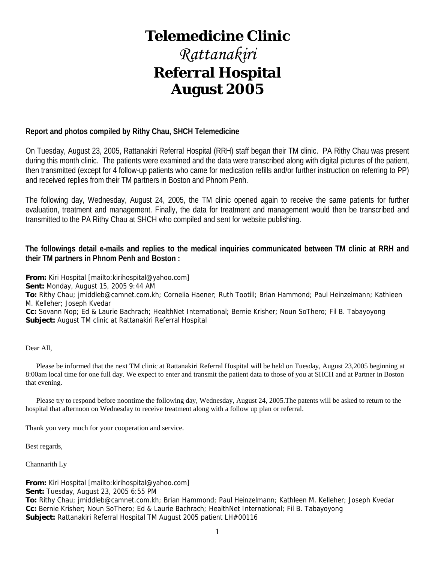# **Telemedicine Clinic**

# *Rattanakiri*  **Referral Hospital August 2005**

### **Report and photos compiled by Rithy Chau, SHCH Telemedicine**

On Tuesday, August 23, 2005, Rattanakiri Referral Hospital (RRH) staff began their TM clinic. PA Rithy Chau was present during this month clinic. The patients were examined and the data were transcribed along with digital pictures of the patient, then transmitted (except for 4 follow-up patients who came for medication refills and/or further instruction on referring to PP) and received replies from their TM partners in Boston and Phnom Penh.

The following day, Wednesday, August 24, 2005, the TM clinic opened again to receive the same patients for further evaluation, treatment and management. Finally, the data for treatment and management would then be transcribed and transmitted to the PA Rithy Chau at SHCH who compiled and sent for website publishing.

### **The followings detail e-mails and replies to the medical inquiries communicated between TM clinic at RRH and their TM partners in Phnom Penh and Boston :**

**From:** Kiri Hospital [mailto:kirihospital@yahoo.com]

**Sent:** Monday, August 15, 2005 9:44 AM

**To:** Rithy Chau; jmiddleb@camnet.com.kh; Cornelia Haener; Ruth Tootill; Brian Hammond; Paul Heinzelmann; Kathleen M. Kelleher; Joseph Kvedar

**Cc:** Sovann Nop; Ed & Laurie Bachrach; HealthNet International; Bernie Krisher; Noun SoThero; Fil B. Tabayoyong **Subject:** August TM clinic at Rattanakiri Referral Hospital

Dear All,

 Please be informed that the next TM clinic at Rattanakiri Referral Hospital will be held on Tuesday, August 23,2005 beginning at 8:00am local time for one full day. We expect to enter and transmit the patient data to those of you at SHCH and at Partner in Boston that evening.

 Please try to respond before noontime the following day, Wednesday, August 24, 2005.The patents will be asked to return to the hospital that afternoon on Wednesday to receive treatment along with a follow up plan or referral.

Thank you very much for your cooperation and service.

Best regards,

Channarith Ly

**From:** Kiri Hospital [mailto:kirihospital@yahoo.com]

**Sent:** Tuesday, August 23, 2005 6:55 PM

**To:** Rithy Chau; jmiddleb@camnet.com.kh; Brian Hammond; Paul Heinzelmann; Kathleen M. Kelleher; Joseph Kvedar **Cc:** Bernie Krisher; Noun SoThero; Ed & Laurie Bachrach; HealthNet International; Fil B. Tabayoyong **Subject:** Rattanakiri Referral Hospital TM August 2005 patient LH#00116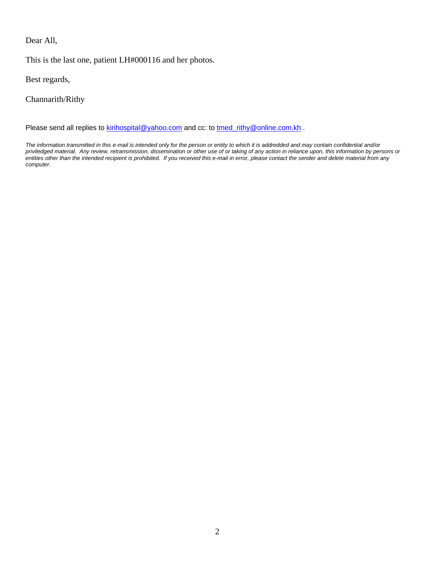Dear All,

This is the last one, patient LH#000116 and her photos.

Best regards,

Channarith/Rithy

Please send all replies to **kirihospital@yahoo.com** and cc: to tmed\_rithy@online.com.kh .

*The information transmitted in this e-mail is intended only for the person or entity to which it is addredded and may contain confidential and/or priviledged material. Any review, retransmission, dissemination or other use of or taking of any action in reliance upon, this information by persons or entities other than the intended recipient is prohibited. If you received this e-mail in error, please contact the sender and delete material from any computer.*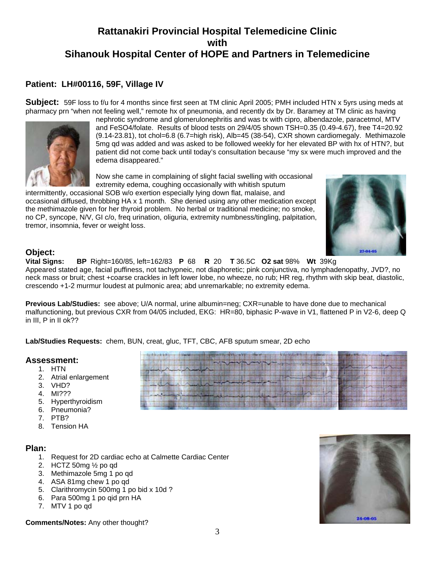## **Patient: LH#00116, 59F, Village IV**

**Subject:** 59F loss to f/u for 4 months since first seen at TM clinic April 2005; PMH included HTN x 5yrs using meds at pharmacy prn "when not feeling well," remote hx of pneumonia, and recently dx by Dr. Baramey at TM clinic as having



nephrotic syndrome and glomerulonephritis and was tx with cipro, albendazole, paracetmol, MTV and FeSO4/folate. Results of blood tests on 29/4/05 shown TSH=0.35 (0.49-4.67), free T4=20.92 (9.14-23.81), tot chol=6.8 (6.7=high risk), Alb=45 (38-54), CXR shown cardiomegaly. Methimazole 5mg qd was added and was asked to be followed weekly for her elevated BP with hx of HTN?, but patient did not come back until today's consultation because "my sx were much improved and the edema disappeared."

Now she came in complaining of slight facial swelling with occasional extremity edema, coughing occasionally with whitish sputum

intermittently, occasional SOB w/o exertion especially lying down flat, malaise, and occasional diffused, throbbing HA x 1 month. She denied using any other medication except the methimazole given for her thyroid problem. No herbal or traditional medicine; no smoke, no CP, syncope, N/V, GI c/o, freq urination, oliguria, extremity numbness/tingling, palpitation, tremor, insomnia, fever or weight loss.



### **Object:**

**Vital Signs: BP** Right=160/85, left=162/83 **P** 68 **R** 20 **T** 36.5C **O2 sat** 98% **Wt** 39Kg Appeared stated age, facial puffiness, not tachypneic, not diaphoretic; pink conjunctiva, no lymphadenopathy, JVD?, no neck mass or bruit; chest +coarse crackles in left lower lobe, no wheeze, no rub; HR reg, rhythm with skip beat, diastolic, crescendo +1-2 murmur loudest at pulmonic area; abd unremarkable; no extremity edema.

**Previous Lab/Studies:** see above; U/A normal, urine albumin=neg; CXR=unable to have done due to mechanical malfunctioning, but previous CXR from 04/05 included, EKG: HR=80, biphasic P-wave in V1, flattened P in V2-6, deep Q in III, P in II ok??

**Lab/Studies Requests:** chem, BUN, creat, gluc, TFT, CBC, AFB sputum smear, 2D echo

# **Assessment:** 1. HTN

- 
- 2. Atrial enlargement
- 3. VHD?
- 4. MI???
- 5. Hyperthyroidism
- 6. Pneumonia?
- 7. PTB?
- 8. Tension HA

### **Plan:**

- 1. Request for 2D cardiac echo at Calmette Cardiac Center
- 2. HCTZ 50mg ½ po qd
- 3. Methimazole 5mg 1 po qd
- 4. ASA 81mg chew 1 po qd
- 5. Clarithromycin 500mg 1 po bid x 10d ?
- 6. Para 500mg 1 po qid prn HA
- 7. MTV 1 po qd

**Comments/Notes:** Any other thought?



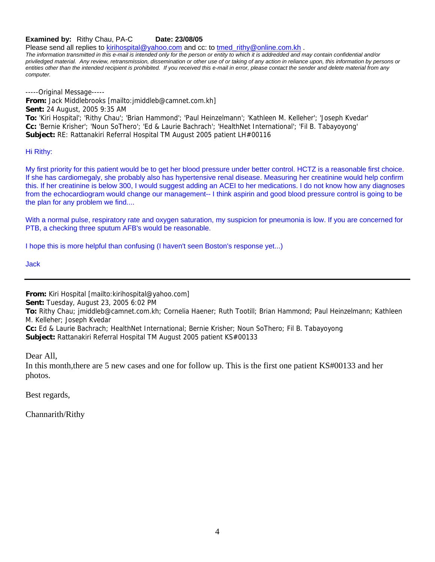**Examined by:** Rithy Chau, PA-C Date: 23/08/05

Please send all replies to kirihospital@yahoo.com and cc: to tmed\_rithy@online.com.kh .

*The information transmitted in this e-mail is intended only for the person or entity to which it is addredded and may contain confidential and/or priviledged material. Any review, retransmission, dissemination or other use of or taking of any action in reliance upon, this information by persons or entities other than the intended recipient is prohibited. If you received this e-mail in error, please contact the sender and delete material from any computer.*

-----Original Message----- **From:** Jack Middlebrooks [mailto:jmiddleb@camnet.com.kh] **Sent:** 24 August, 2005 9:35 AM **To:** 'Kiri Hospital'; 'Rithy Chau'; 'Brian Hammond'; 'Paul Heinzelmann'; 'Kathleen M. Kelleher'; 'Joseph Kvedar' **Cc:** 'Bernie Krisher'; 'Noun SoThero'; 'Ed & Laurie Bachrach'; 'HealthNet International'; 'Fil B. Tabayoyong' **Subject:** RE: Rattanakiri Referral Hospital TM August 2005 patient LH#00116

Hi Rithy:

My first priority for this patient would be to get her blood pressure under better control. HCTZ is a reasonable first choice. If she has cardiomegaly, she probably also has hypertensive renal disease. Measuring her creatinine would help confirm this. If her creatinine is below 300, I would suggest adding an ACEI to her medications. I do not know how any diagnoses from the echocardiogram would change our management-- I think aspirin and good blood pressure control is going to be the plan for any problem we find....

With a normal pulse, respiratory rate and oxygen saturation, my suspicion for pneumonia is low. If you are concerned for PTB, a checking three sputum AFB's would be reasonable.

I hope this is more helpful than confusing (I haven't seen Boston's response yet...)

Jack

**From:** Kiri Hospital [mailto:kirihospital@yahoo.com]

**Sent:** Tuesday, August 23, 2005 6:02 PM

**To:** Rithy Chau; jmiddleb@camnet.com.kh; Cornelia Haener; Ruth Tootill; Brian Hammond; Paul Heinzelmann; Kathleen M. Kelleher; Joseph Kvedar

**Cc:** Ed & Laurie Bachrach; HealthNet International; Bernie Krisher; Noun SoThero; Fil B. Tabayoyong **Subject:** Rattanakiri Referral Hospital TM August 2005 patient KS#00133

Dear All,

In this month,there are 5 new cases and one for follow up. This is the first one patient KS#00133 and her photos.

Best regards,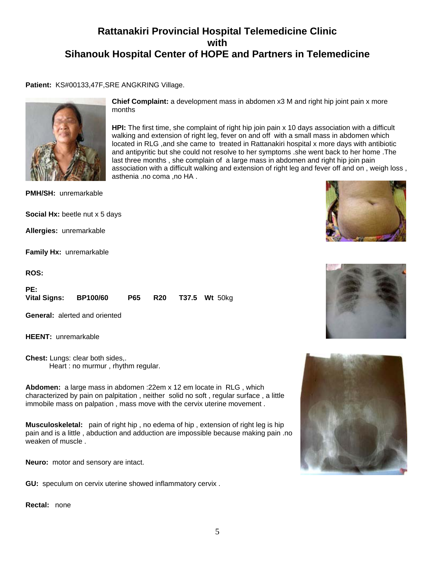**Chief Complaint:** a development mass in abdomen x3 M and right hip joint pain x more

**HPI:** The first time, she complaint of right hip join pain x 10 days association with a difficult walking and extension of right leg, fever on and off with a small mass in abdomen which located in RLG ,and she came to treated in Rattanakiri hospital x more days with antibiotic and antipyritic but she could not resolve to her symptoms .she went back to her home .The last three months , she complain of a large mass in abdomen and right hip join pain

association with a difficult walking and extension of right leg and fever off and on , weigh loss ,

**Patient:** KS#00133,47F,SRE ANGKRING Village.

months

asthenia .no coma ,no HA .



**PMH/SH:** unremarkable

**Social Hx:** beetle nut x 5 days

**Allergies:** unremarkable

**Family Hx:** unremarkable

**ROS:**

| PE:                   |  |  |                       |
|-----------------------|--|--|-----------------------|
| Vital Signs: BP100/60 |  |  | P65 R20 T37.5 Wt 50kg |

**General:** alerted and oriented

**HEENT:** unremarkable

**Chest:** Lungs: clear both sides,. Heart : no murmur , rhythm regular.

**Abdomen:** a large mass in abdomen :22em x 12 em locate in RLG , which characterized by pain on palpitation , neither solid no soft , regular surface , a little immobile mass on palpation , mass move with the cervix uterine movement .

**Musculoskeletal:** pain of right hip , no edema of hip , extension of right leg is hip pain and is a little , abduction and adduction are impossible because making pain .no weaken of muscle .

**Neuro:** motor and sensory are intact.

**GU:** speculum on cervix uterine showed inflammatory cervix .

**Rectal:** none





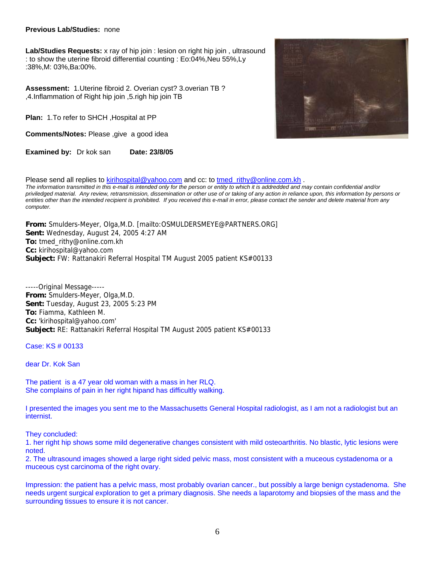#### **Previous Lab/Studies:** none

**Lab/Studies Requests:** x ray of hip join : lesion on right hip join , ultrasound : to show the uterine fibroid differential counting : Eo:04%,Neu 55%,Ly :38%,M: 03%,Ba:00%.

**Assessment:** 1.Uterine fibroid 2. Overian cyst? 3.overian TB ? ,4.Inflammation of Right hip join ,5.righ hip join TB

**Plan:** 1.To refer to SHCH ,Hospital at PP

**Comments/Notes:** Please ,give a good idea

**Examined by:** Dr kok san **Date: 23/8/05** 



Please send all replies to kirihospital@yahoo.com and cc: to tmed\_rithy@online.com.kh . *The information transmitted in this e-mail is intended only for the person or entity to which it is addredded and may contain confidential and/or priviledged material. Any review, retransmission, dissemination or other use of or taking of any action in reliance upon, this information by persons or*  entities other than the intended recipient is prohibited. If you received this e-mail in error, please contact the sender and delete material from any *computer.*

**From:** Smulders-Meyer, Olga,M.D. [mailto:OSMULDERSMEYE@PARTNERS.ORG] **Sent:** Wednesday, August 24, 2005 4:27 AM **To:** tmed\_rithy@online.com.kh **Cc:** kirihospital@yahoo.com **Subject:** FW: Rattanakiri Referral Hospital TM August 2005 patient KS#00133

-----Original Message----- **From:** Smulders-Meyer, Olga,M.D. **Sent:** Tuesday, August 23, 2005 5:23 PM **To:** Fiamma, Kathleen M. **Cc:** 'kirihospital@yahoo.com' **Subject:** RE: Rattanakiri Referral Hospital TM August 2005 patient KS#00133

Case: KS # 00133

dear Dr. Kok San

The patient is a 47 year old woman with a mass in her RLQ. She complains of pain in her right hipand has difficultly walking.

I presented the images you sent me to the Massachusetts General Hospital radiologist, as I am not a radiologist but an internist.

They concluded:

1. her right hip shows some mild degenerative changes consistent with mild osteoarthritis. No blastic, lytic lesions were noted.

2. The ultrasound images showed a large right sided pelvic mass, most consistent with a muceous cystadenoma or a muceous cyst carcinoma of the right ovary.

Impression: the patient has a pelvic mass, most probably ovarian cancer., but possibly a large benign cystadenoma. She needs urgent surgical exploration to get a primary diagnosis. She needs a laparotomy and biopsies of the mass and the surrounding tissues to ensure it is not cancer.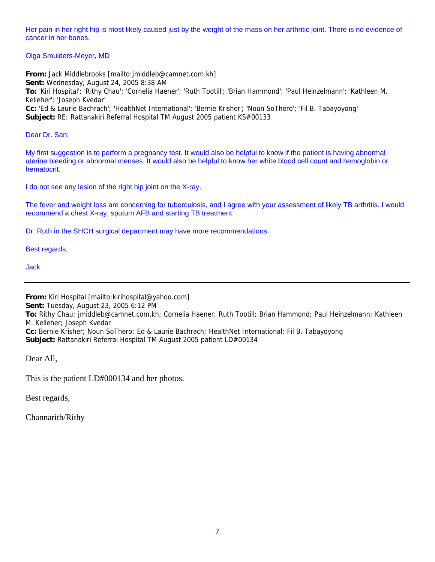Her pain in her right hip is most likely caused just by the weight of the mass on her arthritic joint. There is no evidence of cancer in her bones.

Olga Smulders-Meyer, MD

**From:** Jack Middlebrooks [mailto:jmiddleb@camnet.com.kh] **Sent:** Wednesday, August 24, 2005 8:38 AM **To:** 'Kiri Hospital'; 'Rithy Chau'; 'Cornelia Haener'; 'Ruth Tootill'; 'Brian Hammond'; 'Paul Heinzelmann'; 'Kathleen M. Kelleher'; 'Joseph Kvedar' **Cc:** 'Ed & Laurie Bachrach'; 'HealthNet International'; 'Bernie Krisher'; 'Noun SoThero'; 'Fil B. Tabayoyong' **Subject:** RE: Rattanakiri Referral Hospital TM August 2005 patient KS#00133

Dear Dr. San:

My first suggestion is to perform a pregnancy test. It would also be helpful to know if the patient is having abnormal uterine bleeding or abnormal menses. It would also be helpful to know her white blood cell count and hemoglobin or hematocrit.

I do not see any lesion of the right hip joint on the X-ray.

The fever and weight loss are concerning for tuberculosis, and I agree with your assessment of likely TB arthritis. I would recommend a chest X-ray, sputum AFB and starting TB treatment.

Dr. Ruth in the SHCH surgical department may have more recommendations.

Best regards,

Jack

**From:** Kiri Hospital [mailto:kirihospital@yahoo.com]

**Sent:** Tuesday, August 23, 2005 6:12 PM

**To:** Rithy Chau; jmiddleb@camnet.com.kh; Cornelia Haener; Ruth Tootill; Brian Hammond; Paul Heinzelmann; Kathleen M. Kelleher; Joseph Kvedar

**Cc:** Bernie Krisher; Noun SoThero; Ed & Laurie Bachrach; HealthNet International; Fil B. Tabayoyong **Subject:** Rattanakiri Referral Hospital TM August 2005 patient LD#00134

Dear All,

This is the patient LD#000134 and her photos.

Best regards,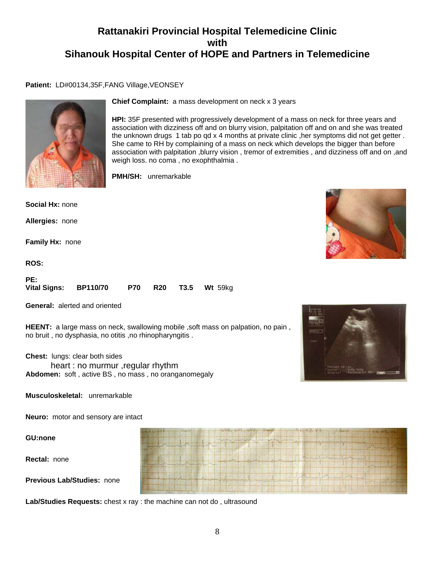#### Patient: LD#00134,35F,FANG Village, VEONSEY



**Social Hx:** none

**Allergies:** none

**Chief Complaint:** a mass development on neck x 3 years

**HPI:** 35F presented with progressively development of a mass on neck for three years and association with dizziness off and on blurry vision, palpitation off and on and she was treated the unknown drugs 1 tab po qd x 4 months at private clinic ,her symptoms did not get getter . She came to RH by complaining of a mass on neck which develops the bigger than before association with palpitation ,blurry vision , tremor of extremities , and dizziness off and on ,and weigh loss. no coma , no exophthalmia .

**PMH/SH:** unremarkable

**Family Hx:** none

**ROS:**

| PE:                   |  |  |                             |
|-----------------------|--|--|-----------------------------|
| Vital Signs: BP110/70 |  |  | <b>P70 R20 T3.5 Wt 59kg</b> |

**General:** alerted and oriented

**HEENT:** a large mass on neck, swallowing mobile , soft mass on palpation, no pain, no bruit , no dysphasia, no otitis ,no rhinopharyngitis .

**Chest:** lungs: clear both sides heart : no murmur ,regular rhythm **Abdomen:** soft , active BS , no mass , no oranganomegaly



**Musculoskeletal:** unremarkable

**Neuro:** motor and sensory are intact

**GU:none**

**Rectal:** none

**Previous Lab/Studies:** none

**Lab/Studies Requests:** chest x ray : the machine can not do , ultrasound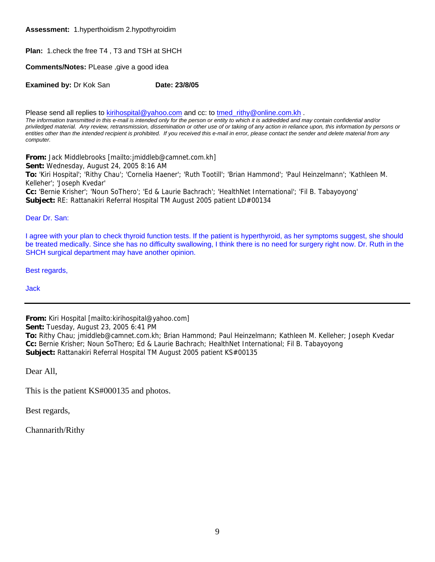**Assessment:** 1.hyperthoidism 2.hypothyroidim

**Plan:** 1.check the free T4 , T3 and TSH at SHCH

**Comments/Notes:** PLease ,give a good idea

**Examined by: Dr Kok San <b>Date: 23/8/05** 

Please send all replies to **kirihospital@yahoo.com** and cc: to tmed\_rithy@online.com.kh . *The information transmitted in this e-mail is intended only for the person or entity to which it is addredded and may contain confidential and/or* 

*priviledged material. Any review, retransmission, dissemination or other use of or taking of any action in reliance upon, this information by persons or entities other than the intended recipient is prohibited. If you received this e-mail in error, please contact the sender and delete material from any computer.*

**From:** Jack Middlebrooks [mailto:jmiddleb@camnet.com.kh] **Sent:** Wednesday, August 24, 2005 8:16 AM **To:** 'Kiri Hospital'; 'Rithy Chau'; 'Cornelia Haener'; 'Ruth Tootill'; 'Brian Hammond'; 'Paul Heinzelmann'; 'Kathleen M. Kelleher'; 'Joseph Kvedar' **Cc:** 'Bernie Krisher'; 'Noun SoThero'; 'Ed & Laurie Bachrach'; 'HealthNet International'; 'Fil B. Tabayoyong' **Subject:** RE: Rattanakiri Referral Hospital TM August 2005 patient LD#00134

Dear Dr. San:

I agree with your plan to check thyroid function tests. If the patient is hyperthyroid, as her symptoms suggest, she should be treated medically. Since she has no difficulty swallowing, I think there is no need for surgery right now. Dr. Ruth in the SHCH surgical department may have another opinion.

Best regards,

Jack

**From:** Kiri Hospital [mailto:kirihospital@yahoo.com]

**Sent:** Tuesday, August 23, 2005 6:41 PM

**To:** Rithy Chau; jmiddleb@camnet.com.kh; Brian Hammond; Paul Heinzelmann; Kathleen M. Kelleher; Joseph Kvedar **Cc:** Bernie Krisher; Noun SoThero; Ed & Laurie Bachrach; HealthNet International; Fil B. Tabayoyong **Subject:** Rattanakiri Referral Hospital TM August 2005 patient KS#00135

Dear All,

This is the patient KS#000135 and photos.

Best regards,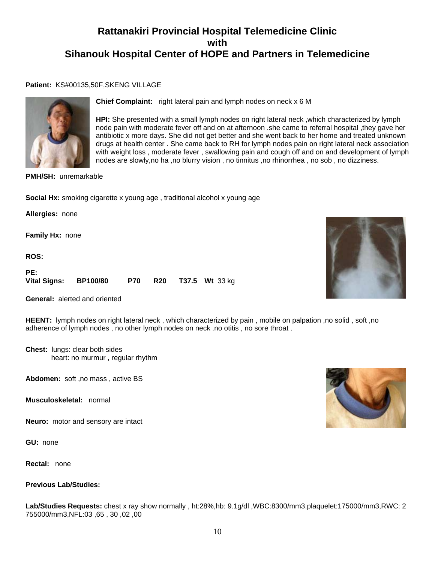#### **Patient:** KS#00135,50F,SKENG VILLAGE



**Chief Complaint:** right lateral pain and lymph nodes on neck x 6 M

**HPI:** She presented with a small lymph nodes on right lateral neck ,which characterized by lymph node pain with moderate fever off and on at afternoon .she came to referral hospital ,they gave her antibiotic x more days. She did not get better and she went back to her home and treated unknown drugs at health center . She came back to RH for lymph nodes pain on right lateral neck association with weight loss , moderate fever , swallowing pain and cough off and on and development of lymph nodes are slowly,no ha ,no blurry vision , no tinnitus ,no rhinorrhea , no sob , no dizziness.

**PMH/SH:** unremarkable

**Social Hx:** smoking cigarette x young age, traditional alcohol x young age

**Allergies:** none

**Family Hx:** none

**ROS:**

| PE:                   |  |  |                               |
|-----------------------|--|--|-------------------------------|
| Vital Signs: BP100/80 |  |  | <b>P70 R20 T37.5 Wt 33 kg</b> |

**General:** alerted and oriented

**HEENT:** lymph nodes on right lateral neck , which characterized by pain , mobile on palpation ,no solid , soft ,no adherence of lymph nodes , no other lymph nodes on neck .no otitis , no sore throat .

**Chest:** lungs: clear both sides heart: no murmur , regular rhythm

**Abdomen:** soft ,no mass , active BS

**Musculoskeletal:** normal

**Neuro:** motor and sensory are intact

**GU:** none

**Rectal:** none

#### **Previous Lab/Studies:**

**Lab/Studies Requests:** chest x ray show normally , ht:28%,hb: 9.1g/dl ,WBC:8300/mm3.plaquelet:175000/mm3,RWC: 2 755000/mm3,NFL:03 ,65 , 30 ,02 ,00



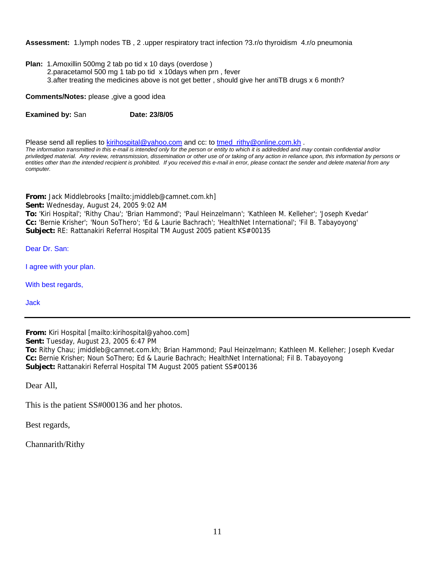**Assessment:** 1.lymph nodes TB , 2 .upper respiratory tract infection ?3.r/o thyroidism 4.r/o pneumonia

- **Plan:** 1.Amoxillin 500mg 2 tab po tid x 10 days (overdose )
	- 2.paracetamol 500 mg 1 tab po tid x 10days when prn , fever 3.after treating the medicines above is not get better , should give her antiTB drugs x 6 month?

**Comments/Notes:** please ,give a good idea

**Examined by: San <b>Date: 23/8/05** 

Please send all replies to kirihospital@yahoo.com and cc: to tmed rithy@online.com.kh .

*The information transmitted in this e-mail is intended only for the person or entity to which it is addredded and may contain confidential and/or priviledged material. Any review, retransmission, dissemination or other use of or taking of any action in reliance upon, this information by persons or entities other than the intended recipient is prohibited. If you received this e-mail in error, please contact the sender and delete material from any computer.*

**From:** Jack Middlebrooks [mailto:jmiddleb@camnet.com.kh] **Sent:** Wednesday, August 24, 2005 9:02 AM **To:** 'Kiri Hospital'; 'Rithy Chau'; 'Brian Hammond'; 'Paul Heinzelmann'; 'Kathleen M. Kelleher'; 'Joseph Kvedar' **Cc:** 'Bernie Krisher'; 'Noun SoThero'; 'Ed & Laurie Bachrach'; 'HealthNet International'; 'Fil B. Tabayoyong' **Subject:** RE: Rattanakiri Referral Hospital TM August 2005 patient KS#00135

Dear Dr. San:

I agree with your plan.

With best regards,

Jack

**From:** Kiri Hospital [mailto:kirihospital@yahoo.com]

**Sent:** Tuesday, August 23, 2005 6:47 PM

**To:** Rithy Chau; jmiddleb@camnet.com.kh; Brian Hammond; Paul Heinzelmann; Kathleen M. Kelleher; Joseph Kvedar **Cc:** Bernie Krisher; Noun SoThero; Ed & Laurie Bachrach; HealthNet International; Fil B. Tabayoyong **Subject:** Rattanakiri Referral Hospital TM August 2005 patient SS#00136

Dear All,

This is the patient SS#000136 and her photos.

Best regards,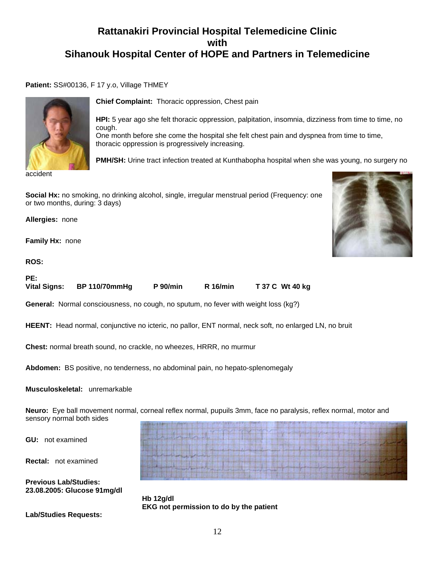**Patient:** SS#00136, F 17 y.o, Village THMEY



accident

**Chief Complaint:** Thoracic oppression, Chest pain

**HPI:** 5 year ago she felt thoracic oppression, palpitation, insomnia, dizziness from time to time, no cough. One month before she come the hospital she felt chest pain and dyspnea from time to time,

thoracic oppression is progressively increasing.

**PMH/SH:** Urine tract infection treated at Kunthabopha hospital when she was young, no surgery no

**Social Hx:** no smoking, no drinking alcohol, single, irregular menstrual period (Frequency: one or two months, during: 3 days)

**Allergies:** none

**Family Hx:** none

**ROS:**



**PE:** 

**Vital Signs: BP 110/70mmHg P 90/min R 16/min T 37 C Wt 40 kg**

**General:** Normal consciousness, no cough, no sputum, no fever with weight loss (kg?)

**HEENT:** Head normal, conjunctive no icteric, no pallor, ENT normal, neck soft, no enlarged LN, no bruit

**Chest:** normal breath sound, no crackle, no wheezes, HRRR, no murmur

**Abdomen:** BS positive, no tenderness, no abdominal pain, no hepato-splenomegaly

#### **Musculoskeletal:** unremarkable

**Neuro:** Eye ball movement normal, corneal reflex normal, pupuils 3mm, face no paralysis, reflex normal, motor and sensory normal both sides

**GU:** not examined

**Rectal:** not examined

**Previous Lab/Studies: 23.08.2005: Glucose 91mg/dl** 

 **Hb 12g/dl EKG not permission to do by the patient**

**Lab/Studies Requests:**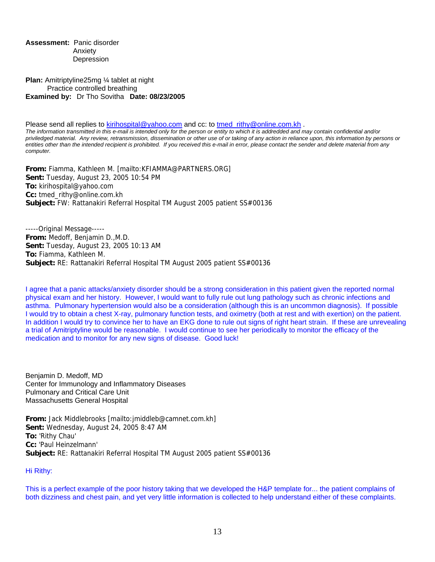**Assessment:** Panic disorder Anxiety Depression

**Plan:** Amitriptyline25mg ¼ tablet at night Practice controlled breathing **Examined by:** Dr Tho Sovitha **Date: 08/23/2005**

Please send all replies to **kirihospital@yahoo.com** and cc: to tmed\_rithy@online.com.kh . *The information transmitted in this e-mail is intended only for the person or entity to which it is addredded and may contain confidential and/or priviledged material. Any review, retransmission, dissemination or other use of or taking of any action in reliance upon, this information by persons or entities other than the intended recipient is prohibited. If you received this e-mail in error, please contact the sender and delete material from any computer.*

**From:** Fiamma, Kathleen M. [mailto:KFIAMMA@PARTNERS.ORG] **Sent:** Tuesday, August 23, 2005 10:54 PM **To:** kirihospital@yahoo.com **Cc:** tmed\_rithy@online.com.kh **Subject:** FW: Rattanakiri Referral Hospital TM August 2005 patient SS#00136

-----Original Message----- **From:** Medoff, Benjamin D.,M.D. **Sent:** Tuesday, August 23, 2005 10:13 AM **To:** Fiamma, Kathleen M. **Subject:** RE: Rattanakiri Referral Hospital TM August 2005 patient SS#00136

I agree that a panic attacks/anxiety disorder should be a strong consideration in this patient given the reported normal physical exam and her history. However, I would want to fully rule out lung pathology such as chronic infections and asthma. Pulmonary hypertension would also be a consideration (although this is an uncommon diagnosis). If possible I would try to obtain a chest X-ray, pulmonary function tests, and oximetry (both at rest and with exertion) on the patient. In addition I would try to convince her to have an EKG done to rule out signs of right heart strain. If these are unrevealing a trial of Amitriptyline would be reasonable. I would continue to see her periodically to monitor the efficacy of the medication and to monitor for any new signs of disease. Good luck!

Benjamin D. Medoff, MD Center for Immunology and Inflammatory Diseases Pulmonary and Critical Care Unit Massachusetts General Hospital

**From:** Jack Middlebrooks [mailto:jmiddleb@camnet.com.kh] **Sent:** Wednesday, August 24, 2005 8:47 AM **To:** 'Rithy Chau' **Cc:** 'Paul Heinzelmann' **Subject:** RE: Rattanakiri Referral Hospital TM August 2005 patient SS#00136

Hi Rithy:

This is a perfect example of the poor history taking that we developed the H&P template for... the patient complains of both dizziness and chest pain, and yet very little information is collected to help understand either of these complaints.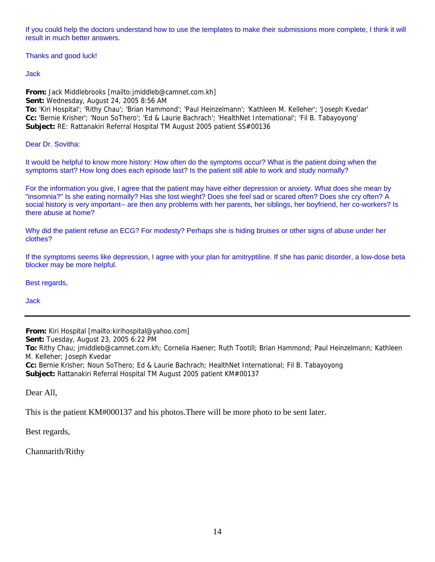If you could help the doctors understand how to use the templates to make their submissions more complete, I think it will result in much better answers.

Thanks and good luck!

Jack

**From:** Jack Middlebrooks [mailto:jmiddleb@camnet.com.kh] **Sent:** Wednesday, August 24, 2005 8:56 AM **To:** 'Kiri Hospital'; 'Rithy Chau'; 'Brian Hammond'; 'Paul Heinzelmann'; 'Kathleen M. Kelleher'; 'Joseph Kvedar'

**Cc:** 'Bernie Krisher'; 'Noun SoThero'; 'Ed & Laurie Bachrach'; 'HealthNet International'; 'Fil B. Tabayoyong' **Subject:** RE: Rattanakiri Referral Hospital TM August 2005 patient SS#00136

Dear Dr. Sovitha:

It would be helpful to know more history: How often do the symptoms occur? What is the patient doing when the symptoms start? How long does each episode last? Is the patient still able to work and study normally?

For the information you give, I agree that the patient may have either depression or anxiety. What does she mean by "insomnia?" Is she eating normally? Has she lost wieght? Does she feel sad or scared often? Does she cry often? A social history is very important-- are then any problems with her parents, her siblings, her boyfriend, her co-workers? Is there abuse at home?

Why did the patient refuse an ECG? For modesty? Perhaps she is hiding bruises or other signs of abuse under her clothes?

If the symptoms seems like depression, I agree with your plan for amitryptiline. If she has panic disorder, a low-dose beta blocker may be more helpful.

Best regards,

Jack

**From:** Kiri Hospital [mailto:kirihospital@yahoo.com] **Sent:** Tuesday, August 23, 2005 6:22 PM **To:** Rithy Chau; jmiddleb@camnet.com.kh; Cornelia Haener; Ruth Tootill; Brian Hammond; Paul Heinzelmann; Kathleen M. Kelleher; Joseph Kvedar **Cc:** Bernie Krisher; Noun SoThero; Ed & Laurie Bachrach; HealthNet International; Fil B. Tabayoyong **Subject:** Rattanakiri Referral Hospital TM August 2005 patient KM#00137

Dear All,

This is the patient KM#000137 and his photos.There will be more photo to be sent later.

Best regards,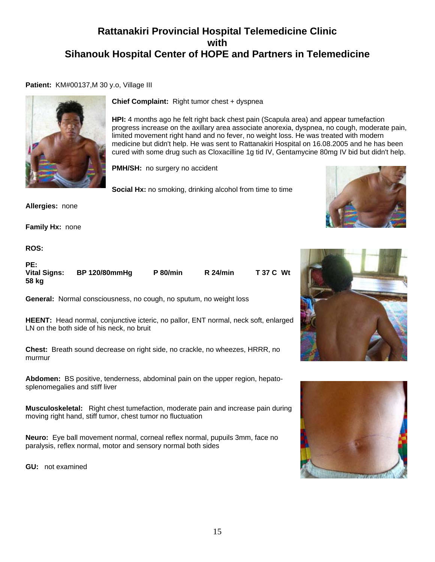#### **Patient:** KM#00137,M 30 y.o, Village III



**Chief Complaint:** Right tumor chest + dyspnea

**HPI:** 4 months ago he felt right back chest pain (Scapula area) and appear tumefaction progress increase on the axillary area associate anorexia, dyspnea, no cough, moderate pain, limited movement right hand and no fever, no weight loss. He was treated with modern medicine but didn't help. He was sent to Rattanakiri Hospital on 16.08.2005 and he has been cured with some drug such as Cloxacilline 1g tid IV, Gentamycine 80mg IV bid but didn't help.

**PMH/SH:** no surgery no accident

**Social Hx:** no smoking, drinking alcohol from time to time

**Allergies:** none

**Family Hx:** none

**ROS:**

| PE:                          |                      |                 |                      |                  |
|------------------------------|----------------------|-----------------|----------------------|------------------|
| <b>Vital Signs:</b><br>58 kg | <b>BP 120/80mmHg</b> | <b>P</b> 80/min | R <sub>24</sub> /min | <b>T 37 C Wt</b> |

**General:** Normal consciousness, no cough, no sputum, no weight loss

**HEENT:** Head normal, conjunctive icteric, no pallor, ENT normal, neck soft, enlarged LN on the both side of his neck, no bruit

**Chest:** Breath sound decrease on right side, no crackle, no wheezes, HRRR, no murmur

**Abdomen:** BS positive, tenderness, abdominal pain on the upper region, hepatosplenomegalies and stiff liver

**Musculoskeletal:** Right chest tumefaction, moderate pain and increase pain during moving right hand, stiff tumor, chest tumor no fluctuation

**Neuro:** Eye ball movement normal, corneal reflex normal, pupuils 3mm, face no paralysis, reflex normal, motor and sensory normal both sides

**GU:** not examined





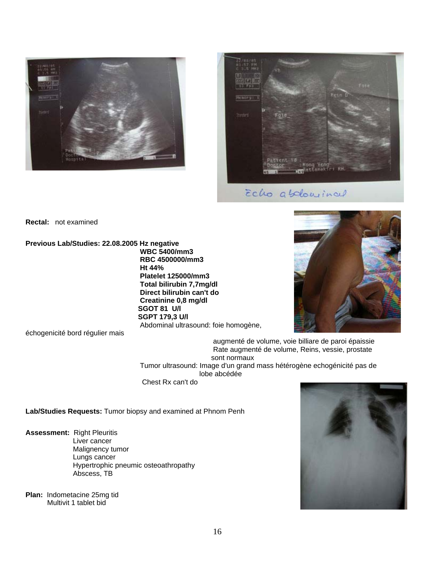



Echo abelowinal

**Rectal:** not examined

**Previous Lab/Studies: 22.08.2005 Hz negative WBC 5400/mm3 RBC 4500000/mm3 Ht 44% Platelet 125000/mm3 Total bilirubin 7,7mg/dl Direct bilirubin can't do Creatinine 0,8 mg/dl SGOT 81 U/l SGPT 179,3 U/l** Abdominal ultrasound: foie homogène,



échogenicité bord régulier mais

 augmenté de volume, voie billiare de paroi épaissie Rate augmenté de volume, Reins, vessie, prostate sont normaux

 Tumor ultrasound: Image d'un grand mass hétérogène echogénicité pas de lobe abcédée

Chest Rx can't do

**Lab/Studies Requests:** Tumor biopsy and examined at Phnom Penh

- **Assessment:** Right Pleuritis Liver cancer Malignency tumor Lungs cancer Hypertrophic pneumic osteoathropathy Abscess, TB
- **Plan:** Indometacine 25mg tid Multivit 1 tablet bid

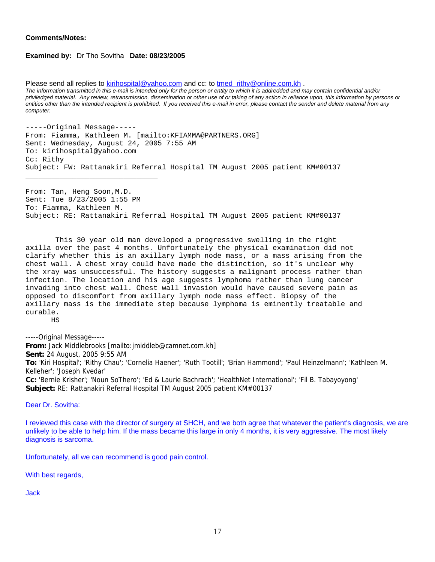#### **Comments/Notes:**

#### **Examined by:** Dr Tho Sovitha **Date: 08/23/2005**

\_\_\_\_\_\_\_\_\_\_\_\_\_\_\_\_\_\_\_\_\_\_\_\_\_\_\_\_\_\_\_

Please send all replies to kirihospital@yahoo.com and cc: to tmed\_rithy@online.com.kh . *The information transmitted in this e-mail is intended only for the person or entity to which it is addredded and may contain confidential and/or priviledged material. Any review, retransmission, dissemination or other use of or taking of any action in reliance upon, this information by persons or entities other than the intended recipient is prohibited. If you received this e-mail in error, please contact the sender and delete material from any computer.*

-----Original Message----- From: Fiamma, Kathleen M. [mailto:KFIAMMA@PARTNERS.ORG] Sent: Wednesday, August 24, 2005 7:55 AM To: kirihospital@yahoo.com Cc: Rithy Subject: FW: Rattanakiri Referral Hospital TM August 2005 patient KM#00137

From: Tan, Heng Soon,M.D. Sent: Tue 8/23/2005 1:55 PM To: Fiamma, Kathleen M. Subject: RE: Rattanakiri Referral Hospital TM August 2005 patient KM#00137

 This 30 year old man developed a progressive swelling in the right axilla over the past 4 months. Unfortunately the physical examination did not clarify whether this is an axillary lymph node mass, or a mass arising from the chest wall. A chest xray could have made the distinction, so it's unclear why the xray was unsuccessful. The history suggests a malignant process rather than infection. The location and his age suggests lymphoma rather than lung cancer invading into chest wall. Chest wall invasion would have caused severe pain as opposed to discomfort from axillary lymph node mass effect. Biopsy of the axillary mass is the immediate step because lymphoma is eminently treatable and curable.

HS

-----Original Message-----

**From:** Jack Middlebrooks [mailto:jmiddleb@camnet.com.kh] **Sent:** 24 August, 2005 9:55 AM **To:** 'Kiri Hospital'; 'Rithy Chau'; 'Cornelia Haener'; 'Ruth Tootill'; 'Brian Hammond'; 'Paul Heinzelmann'; 'Kathleen M. Kelleher'; 'Joseph Kvedar' **Cc:** 'Bernie Krisher'; 'Noun SoThero'; 'Ed & Laurie Bachrach'; 'HealthNet International'; 'Fil B. Tabayoyong' **Subject:** RE: Rattanakiri Referral Hospital TM August 2005 patient KM#00137

Dear Dr. Sovitha:

I reviewed this case with the director of surgery at SHCH, and we both agree that whatever the patient's diagnosis, we are unlikely to be able to help him. If the mass became this large in only 4 months, it is very aggressive. The most likely diagnosis is sarcoma.

Unfortunately, all we can recommend is good pain control.

With best regards,

Jack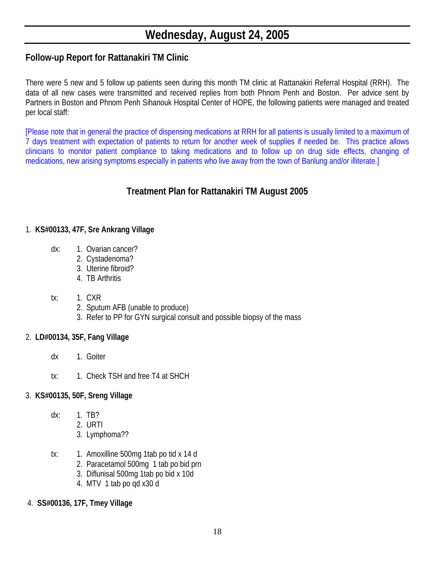# **Wednesday, August 24, 2005**

# **Follow-up Report for Rattanakiri TM Clinic**

There were 5 new and 5 follow up patients seen during this month TM clinic at Rattanakiri Referral Hospital (RRH). The data of all new cases were transmitted and received replies from both Phnom Penh and Boston. Per advice sent by Partners in Boston and Phnom Penh Sihanouk Hospital Center of HOPE, the following patients were managed and treated per local staff:

[Please note that in general the practice of dispensing medications at RRH for all patients is usually limited to a maximum of 7 days treatment with expectation of patients to return for another week of supplies if needed be. This practice allows clinicians to monitor patient compliance to taking medications and to follow up on drug side effects, changing of medications, new arising symptoms especially in patients who live away from the town of Banlung and/or illiterate.]

# **Treatment Plan for Rattanakiri TM August 2005**

### 1. **KS#00133, 47F, Sre Ankrang Village**

- dx: 1. Ovarian cancer?
	- 2. Cystadenoma?
	- 3. Uterine fibroid?
	- 4. TB Arthritis

### tx: 1. CXR

- 2. Sputum AFB (unable to produce)
- 3. Refer to PP for GYN surgical consult and possible biopsy of the mass

### 2. **LD#00134, 35F, Fang Village**

- dx 1. Goiter
- tx: 1. Check TSH and free T4 at SHCH

### 3. **KS#00135, 50F, Sreng Village**

- dx: 1. TB?
	- 2. URTI
	- 3. Lymphoma??
- tx: 1. Amoxilline 500mg 1tab po tid x 14 d
	- 2. Paracetamol 500mg 1 tab po bid prn
	- 3. Diflunisal 500mg 1tab po bid x 10d
	- 4. MTV 1 tab po qd x30 d
- 4. **SS#00136, 17F, Tmey Village**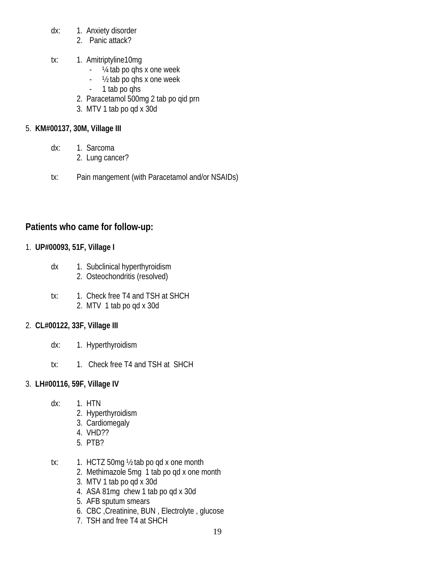- dx: 1. Anxiety disorder
	- 2. Panic attack?
- tx: 1. Amitriptyline10mg
	- ¼ tab po qhs x one week
	- ½ tab po qhs x one week
	- 1 tab po ghs
	- 2. Paracetamol 500mg 2 tab po qid prn
	- 3. MTV 1 tab po qd x 30d

## 5. **KM#00137, 30M, Village III**

- dx: 1. Sarcoma
	- 2. Lung cancer?
- tx: Pain mangement (with Paracetamol and/or NSAIDs)

# **Patients who came for follow-up:**

## 1. **UP#00093, 51F, Village I**

- dx 1. Subclinical hyperthyroidism 2. Osteochondritis (resolved)
- tx: 1. Check free T4 and TSH at SHCH 2. MTV 1 tab po qd x 30d

## 2. **CL#00122, 33F, Village III**

- dx: 1. Hyperthyroidism
- tx: 1. Check free T4 and TSH at SHCH

# 3. **LH#00116, 59F, Village IV**

- dx: 1. HTN
	- 2. Hyperthyroidism
	- 3. Cardiomegaly
	- 4. VHD??
	- 5. PTB?
- tx:  $1.$  HCTZ 50mg  $\frac{1}{2}$  tab po gd x one month
	- 2. Methimazole 5mg 1 tab po qd x one month
	- 3. MTV 1 tab po qd x 30d
	- 4. ASA 81mg chew 1 tab po qd x 30d
	- 5. AFB sputum smears
	- 6. CBC ,Creatinine, BUN , Electrolyte , glucose
	- 7. TSH and free T4 at SHCH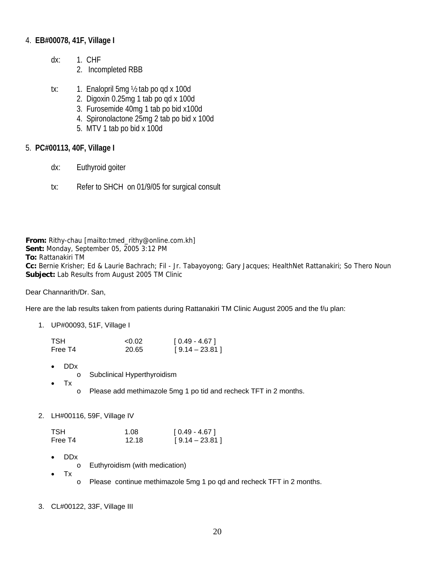### 4. **EB#00078, 41F, Village I**

- dx: 1. CHF
	- 2. Incompleted RBB
- tx: 1. Enalopril 5mg ½ tab po qd x 100d
	- 2. Digoxin 0.25mg 1 tab po qd x 100d
	- 3. Furosemide 40mg 1 tab po bid x100d
	- 4. Spironolactone 25mg 2 tab po bid x 100d
	- 5. MTV 1 tab po bid x 100d

### 5. **PC#00113, 40F, Village I**

- dx: Euthyroid goiter
- tx: Refer to SHCH on 01/9/05 for surgical consult

**From:** Rithy-chau [mailto:tmed\_rithy@online.com.kh] **Sent:** Monday, September 05, 2005 3:12 PM **To:** Rattanakiri TM **Cc:** Bernie Krisher; Ed & Laurie Bachrach; Fil - Jr. Tabayoyong; Gary Jacques; HealthNet Rattanakiri; So Thero Noun **Subject:** Lab Results from August 2005 TM Clinic

Dear Channarith/Dr. San,

Here are the lab results taken from patients during Rattanakiri TM Clinic August 2005 and the f/u plan:

1. UP#00093, 51F, Village I

| TSH     | < 0.02 | $[0.49 - 4.67]$  |
|---------|--------|------------------|
| Free T4 | 20.65  | $[9.14 - 23.81]$ |

- DDx
	- o Subclinical Hyperthyroidism
- Tx
- o Please add methimazole 5mg 1 po tid and recheck TFT in 2 months.

### 2. LH#00116, 59F, Village IV

| TSH     | 1.08  | $[0.49 - 4.67]$  |
|---------|-------|------------------|
| Free T4 | 12.18 | $[9.14 - 23.81]$ |

- DDx
	- o Euthyroidism (with medication)
- Tx
	- o Please continue methimazole 5mg 1 po qd and recheck TFT in 2 months.
- 3. CL#00122, 33F, Village III